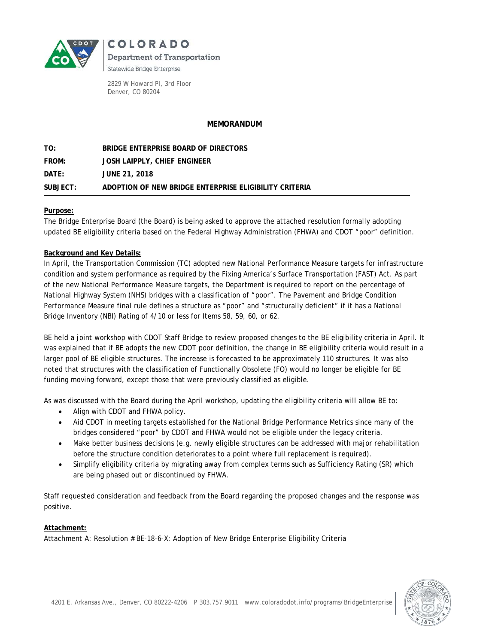

COLORADO Department of Transportation Statewide Bridge Enterprise

2829 W Howard Pl, 3rd Floor Denver, CO 80204

## **MEMORANDUM**

**TO: BRIDGE ENTERPRISE BOARD OF DIRECTORS FROM: JOSH LAIPPLY, CHIEF ENGINEER DATE: JUNE 21, 2018 SUBJECT: ADOPTION OF NEW BRIDGE ENTERPRISE ELIGIBILITY CRITERIA**

#### **Purpose:**

The Bridge Enterprise Board (the Board) is being asked to approve the attached resolution formally adopting updated BE eligibility criteria based on the Federal Highway Administration (FHWA) and CDOT "poor" definition.

## **Background and Key Details:**

In April, the Transportation Commission (TC) adopted new National Performance Measure targets for infrastructure condition and system performance as required by the Fixing America's Surface Transportation (FAST) Act. As part of the new National Performance Measure targets, the Department is required to report on the percentage of National Highway System (NHS) bridges with a classification of "poor". The Pavement and Bridge Condition Performance Measure final rule defines a structure as "poor" and "structurally deficient" if it has a National Bridge Inventory (NBI) Rating of 4/10 or less for Items 58, 59, 60, or 62.

BE held a joint workshop with CDOT Staff Bridge to review proposed changes to the BE eligibility criteria in April. It was explained that if BE adopts the new CDOT poor definition, the change in BE eligibility criteria would result in a larger pool of BE eligible structures. The increase is forecasted to be approximately 110 structures. It was also noted that structures with the classification of Functionally Obsolete (FO) would no longer be eligible for BE funding moving forward, except those that were previously classified as eligible.

As was discussed with the Board during the April workshop, updating the eligibility criteria will allow BE to:

- Align with CDOT and FHWA policy.
- Aid CDOT in meeting targets established for the National Bridge Performance Metrics since many of the bridges considered "poor" by CDOT and FHWA would not be eligible under the legacy criteria.
- Make better business decisions (e.g. newly eligible structures can be addressed with major rehabilitation before the structure condition deteriorates to a point where full replacement is required).
- Simplify eligibility criteria by migrating away from complex terms such as Sufficiency Rating (SR) which are being phased out or discontinued by FHWA.

Staff requested consideration and feedback from the Board regarding the proposed changes and the response was positive.

#### **Attachment:**

Attachment A: Resolution # BE-18-6-X: Adoption of New Bridge Enterprise Eligibility Criteria